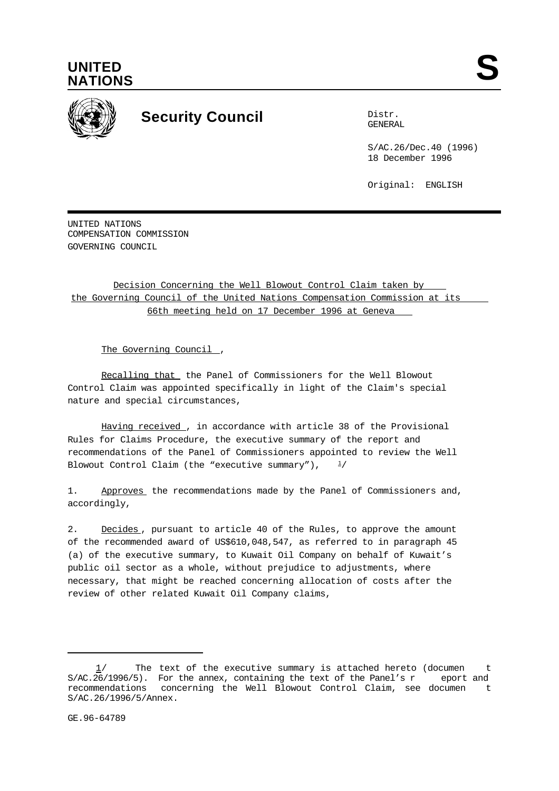



## **Security Council** Distribution

GENERAL

S/AC.26/Dec.40 (1996) 18 December 1996

Original: ENGLISH

UNITED NATIONS COMPENSATION COMMISSION GOVERNING COUNCIL

Decision Concerning the Well Blowout Control Claim taken by the Governing Council of the United Nations Compensation Commission at its 66th meeting held on 17 December 1996 at Geneva

The Governing Council ,

Recalling that the Panel of Commissioners for the Well Blowout Control Claim was appointed specifically in light of the Claim's special nature and special circumstances,

Having received , in accordance with article 38 of the Provisional Rules for Claims Procedure, the executive summary of the report and recommendations of the Panel of Commissioners appointed to review the Well Blowout Control Claim (the "executive summary"),  $\frac{1}{2}$ 

1. Approves the recommendations made by the Panel of Commissioners and, accordingly,

2. Decides, pursuant to article 40 of the Rules, to approve the amount of the recommended award of US\$610,048,547, as referred to in paragraph 45 (a) of the executive summary, to Kuwait Oil Company on behalf of Kuwait's public oil sector as a whole, without prejudice to adjustments, where necessary, that might be reached concerning allocation of costs after the review of other related Kuwait Oil Company claims,

The text of the executive summary is attached hereto (documen t S/AC.26/1996/5). For the annex, containing the text of the Panel's r eport and recommendations concerning the Well Blowout Control Claim, see documen t S/AC.26/1996/5/Annex.